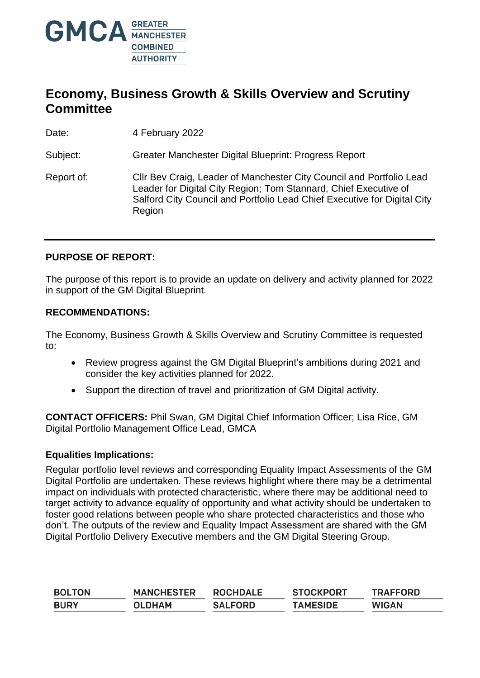

### **Economy, Business Growth & Skills Overview and Scrutiny Committee**

Date: 4 February 2022

Subject: Greater Manchester Digital Blueprint: Progress Report

Report of: Cllr Bev Craig, Leader of Manchester City Council and Portfolio Lead Leader for Digital City Region; Tom Stannard, Chief Executive of Salford City Council and Portfolio Lead Chief Executive for Digital City **Region** 

#### **PURPOSE OF REPORT:**

The purpose of this report is to provide an update on delivery and activity planned for 2022 in support of the GM Digital Blueprint.

#### **RECOMMENDATIONS:**

The Economy, Business Growth & Skills Overview and Scrutiny Committee is requested to:

- Review progress against the GM Digital Blueprint's ambitions during 2021 and consider the key activities planned for 2022.
- Support the direction of travel and prioritization of GM Digital activity.

**CONTACT OFFICERS:** Phil Swan, GM Digital Chief Information Officer; Lisa Rice, GM Digital Portfolio Management Office Lead, GMCA

#### **Equalities Implications:**

Regular portfolio level reviews and corresponding Equality Impact Assessments of the GM Digital Portfolio are undertaken. These reviews highlight where there may be a detrimental impact on individuals with protected characteristic, where there may be additional need to target activity to advance equality of opportunity and what activity should be undertaken to foster good relations between people who share protected characteristics and those who don't. The outputs of the review and Equality Impact Assessment are shared with the GM Digital Portfolio Delivery Executive members and the GM Digital Steering Group.

| <b>BOLTON</b> | <b>MANCHESTER</b> | <b>ROCHDALE</b> | <b>STOCKPORT</b> | <b>TRAFFORD</b> |
|---------------|-------------------|-----------------|------------------|-----------------|
| <b>BURY</b>   | <b>OLDHAM</b>     | <b>SALFORD</b>  | <b>TAMESIDE</b>  | <b>WIGAN</b>    |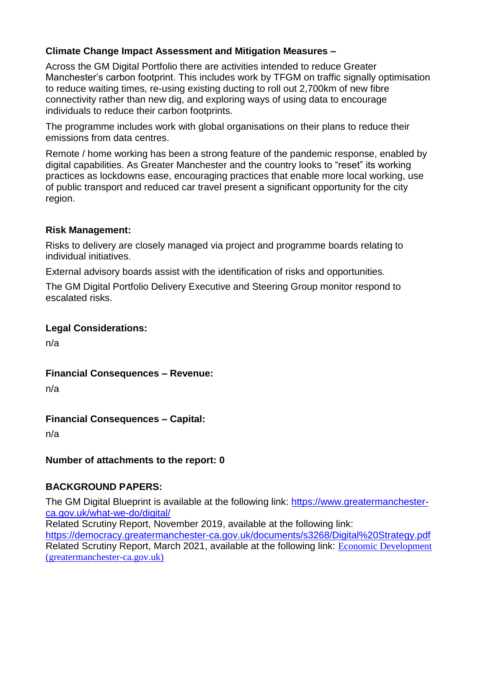### **Climate Change Impact Assessment and Mitigation Measures –**

Across the GM Digital Portfolio there are activities intended to reduce Greater Manchester's carbon footprint. This includes work by TFGM on traffic signally optimisation to reduce waiting times, re-using existing ducting to roll out 2,700km of new fibre connectivity rather than new dig, and exploring ways of using data to encourage individuals to reduce their carbon footprints.

The programme includes work with global organisations on their plans to reduce their emissions from data centres.

Remote / home working has been a strong feature of the pandemic response, enabled by digital capabilities. As Greater Manchester and the country looks to "reset" its working practices as lockdowns ease, encouraging practices that enable more local working, use of public transport and reduced car travel present a significant opportunity for the city region.

#### **Risk Management:**

Risks to delivery are closely managed via project and programme boards relating to individual initiatives.

External advisory boards assist with the identification of risks and opportunities.

The GM Digital Portfolio Delivery Executive and Steering Group monitor respond to escalated risks.

### **Legal Considerations:**

n/a

**Financial Consequences – Revenue:**

n/a

### **Financial Consequences – Capital:**

n/a

### **Number of attachments to the report: 0**

### **BACKGROUND PAPERS:**

The GM Digital Blueprint is available at the following link: [https://www.greatermanchester](https://www.greatermanchester-ca.gov.uk/what-we-do/digital/)[ca.gov.uk/what-we-do/digital/](https://www.greatermanchester-ca.gov.uk/what-we-do/digital/)

Related Scrutiny Report, November 2019, available at the following link:

<https://democracy.greatermanchester-ca.gov.uk/documents/s3268/Digital%20Strategy.pdf> Related Scrutiny Report, March 2021, available at the following link: [Economic Development](https://democracy.greatermanchester-ca.gov.uk/documents/s13479/GM%20DIgital%20Blueprint%20-%201%20year%20on%20V210785.pdf)  [\(greatermanchester-ca.gov.uk\)](https://democracy.greatermanchester-ca.gov.uk/documents/s13479/GM%20DIgital%20Blueprint%20-%201%20year%20on%20V210785.pdf)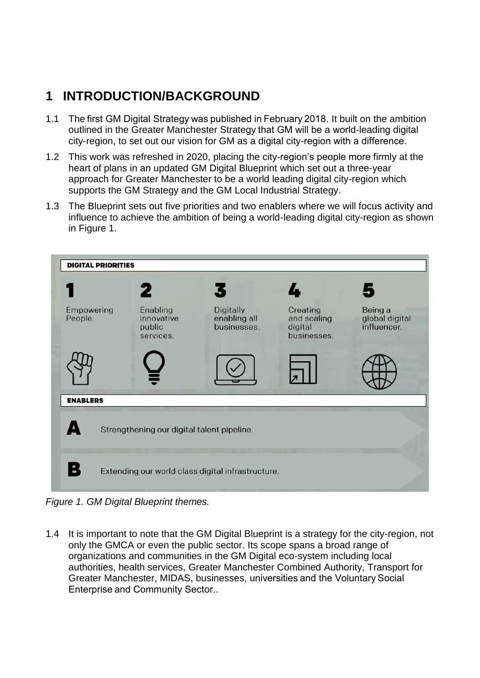### **1 INTRODUCTION/BACKGROUND**

- 1.1 The first GM Digital Strategy was published in February 2018. It built on the ambition outlined in the Greater Manchester Strategy that GM will be a world-leading digital city-region, to set out our vision for GM as a digital city-region with a difference.
- 1.2 This work was refreshed in 2020, placing the city-region's people more firmly at the heart of plans in an updated GM Digital Blueprint which set out a three-year approach for Greater Manchester to be a world leading digital city-region which supports the GM Strategy and the GM Local Industrial Strategy.
- 1.3 The Blueprint sets out five priorities and two enablers where we will focus activity and influence to achieve the ambition of being a world-leading digital city-region as shown in Figure 1.



*Figure 1. GM Digital Blueprint themes.*

1.4 It is important to note that the GM Digital Blueprint is a strategy for the city-region, not only the GMCA or even the public sector. Its scope spans a broad range of organizations and communities in the GM Digital eco-system including local authorities, health services, Greater Manchester Combined Authority, Transport for Greater Manchester, MIDAS, businesses, universities and the Voluntary Social Enterprise and Community Sector..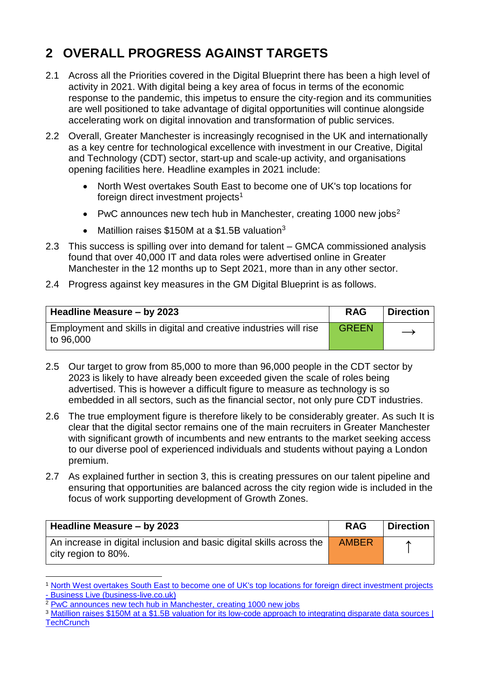## **2 OVERALL PROGRESS AGAINST TARGETS**

- 2.1 Across all the Priorities covered in the Digital Blueprint there has been a high level of activity in 2021. With digital being a key area of focus in terms of the economic response to the pandemic, this impetus to ensure the city-region and its communities are well positioned to take advantage of digital opportunities will continue alongside accelerating work on digital innovation and transformation of public services.
- 2.2 Overall, Greater Manchester is increasingly recognised in the UK and internationally as a key centre for technological excellence with investment in our Creative, Digital and Technology (CDT) sector, start-up and scale-up activity, and organisations opening facilities here. Headline examples in 2021 include:
	- North West overtakes South East to become one of UK's top locations for foreign direct investment projects<sup>1</sup>
	- PwC announces new tech hub in Manchester, creating 1000 new jobs<sup>2</sup>
	- Matillion raises \$150M at a \$1.5B valuation<sup>3</sup>
- 2.3 This success is spilling over into demand for talent GMCA commissioned analysis found that over 40,000 IT and data roles were advertised online in Greater Manchester in the 12 months up to Sept 2021, more than in any other sector.
- 2.4 Progress against key measures in the GM Digital Blueprint is as follows.

| Headline Measure - by 2023                                                        | <b>RAG</b>   | <b>Direction</b>  |
|-----------------------------------------------------------------------------------|--------------|-------------------|
| Employment and skills in digital and creative industries will rise<br>to $96,000$ | <b>GREEN</b> | $\longrightarrow$ |

- 2.5 Our target to grow from 85,000 to more than 96,000 people in the CDT sector by 2023 is likely to have already been exceeded given the scale of roles being advertised. This is however a difficult figure to measure as technology is so embedded in all sectors, such as the financial sector, not only pure CDT industries.
- 2.6 The true employment figure is therefore likely to be considerably greater. As such It is clear that the digital sector remains one of the main recruiters in Greater Manchester with significant growth of incumbents and new entrants to the market seeking access to our diverse pool of experienced individuals and students without paying a London premium.
- 2.7 As explained further in section 3, this is creating pressures on our talent pipeline and ensuring that opportunities are balanced across the city region wide is included in the focus of work supporting development of Growth Zones.

| Headline Measure - by 2023                                                                  | <b>RAG</b>   | <b>Direction</b> |
|---------------------------------------------------------------------------------------------|--------------|------------------|
| An increase in digital inclusion and basic digital skills across the<br>city region to 80%. | <b>AMBER</b> |                  |

<sup>1</sup> North West [overtakes South East to become one of UK's top locations for foreign direct investment projects](https://www.business-live.co.uk/economic-development/north-west-overtakes-south-east-20742886)  - [Business Live \(business-live.co.uk\)](https://www.business-live.co.uk/economic-development/north-west-overtakes-south-east-20742886)

1

<sup>&</sup>lt;sup>2</sup> [PwC announces new tech hub in Manchester, creating 1000 new jobs](https://www.pwc.co.uk/press-room/press-releases/pwc-announces-new-tech-hub-in-manchester--creating-1000-new-jobs.html)

<sup>&</sup>lt;sup>3</sup> Matillion raises \$150M at a \$1.5B valuation for its low-code approach to integrating disparate data sources | **[TechCrunch](https://techcrunch.com/2021/09/15/matillion-raises-150m-at-a-1-5b-valuation-for-its-low-code-approach-to-integrating-disparate-data-sources/?guccounter=1&guce_referrer=aHR0cHM6Ly93d3cuYmluZy5jb20v&guce_referrer_sig=AQAAAGxrhRdtXJheNQoktZAjZXz6AV_DyrgFMgeBKf5i14NjTKgrXEBlsbKlVtOBZVCZ-2IvQVcago4nSeicyeZ9PmsT0__iKC5LpRWeEhbe5rD19Dtiuf1Na_us0N90qfkr6rI6fDwnvXrUhQYM1yKYADI_Onlreg-IfOFLjTcyQ2BU)**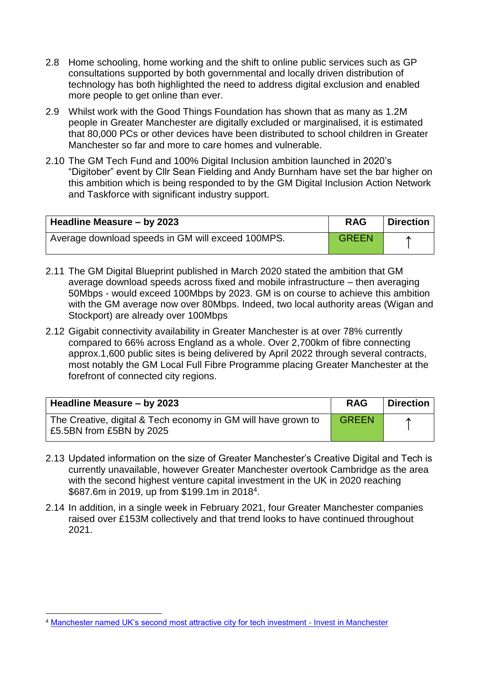- 2.8 Home schooling, home working and the shift to online public services such as GP consultations supported by both governmental and locally driven distribution of technology has both highlighted the need to address digital exclusion and enabled more people to get online than ever.
- 2.9 Whilst work with the Good Things Foundation has shown that as many as 1.2M people in Greater Manchester are digitally excluded or marginalised, it is estimated that 80,000 PCs or other devices have been distributed to school children in Greater Manchester so far and more to care homes and vulnerable.
- 2.10 The GM Tech Fund and 100% Digital Inclusion ambition launched in 2020's "Digitober" event by Cllr Sean Fielding and Andy Burnham have set the bar higher on this ambition which is being responded to by the GM Digital Inclusion Action Network and Taskforce with significant industry support.

| Headline Measure - by 2023                        | <b>RAG</b>   | <b>Direction</b> |
|---------------------------------------------------|--------------|------------------|
| Average download speeds in GM will exceed 100MPS. | <b>GREEN</b> |                  |

- 2.11 The GM Digital Blueprint published in March 2020 stated the ambition that GM average download speeds across fixed and mobile infrastructure – then averaging 50Mbps - would exceed 100Mbps by 2023. GM is on course to achieve this ambition with the GM average now over 80Mbps. Indeed, two local authority areas (Wigan and Stockport) are already over 100Mbps
- 2.12 Gigabit connectivity availability in Greater Manchester is at over 78% currently compared to 66% across England as a whole. Over 2,700km of fibre connecting approx.1,600 public sites is being delivered by April 2022 through several contracts, most notably the GM Local Full Fibre Programme placing Greater Manchester at the forefront of connected city regions.

| Headline Measure - by 2023                                                                | <b>RAG</b>   | Direction |
|-------------------------------------------------------------------------------------------|--------------|-----------|
| The Creative, digital & Tech economy in GM will have grown to<br>£5.5BN from £5BN by 2025 | <b>GREEN</b> | ́         |

- 2.13 Updated information on the size of Greater Manchester's Creative Digital and Tech is currently unavailable, however Greater Manchester overtook Cambridge as the area with the second highest venture capital investment in the UK in 2020 reaching \$687.6m in 2019, up from \$199.1m in 2018<sup>4</sup>.
- 2.14 In addition, in a single week in February 2021, four Greater Manchester companies raised over £153M collectively and that trend looks to have continued throughout 2021.

<sup>1</sup> <sup>4</sup> [Manchester named UK's second most attractive city for tech investment -](https://www.investinmanchester.com/media-and-events/industry-news/2020/11/4/manchester-named-uk-s-second-most-attractive-city-for-tech-investment-a2830) Invest in Manchester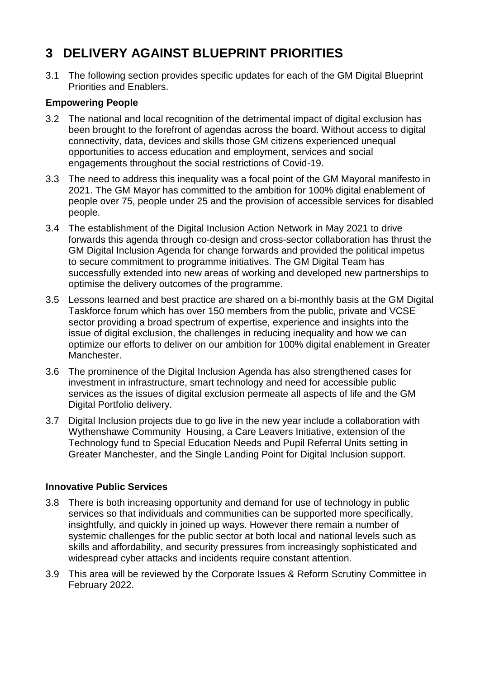### **3 DELIVERY AGAINST BLUEPRINT PRIORITIES**

3.1 The following section provides specific updates for each of the GM Digital Blueprint Priorities and Enablers.

### **Empowering People**

- 3.2 The national and local recognition of the detrimental impact of digital exclusion has been brought to the forefront of agendas across the board. Without access to digital connectivity, data, devices and skills those GM citizens experienced unequal opportunities to access education and employment, services and social engagements throughout the social restrictions of Covid-19.
- 3.3 The need to address this inequality was a focal point of the GM Mayoral manifesto in 2021. The GM Mayor has committed to the ambition for 100% digital enablement of people over 75, people under 25 and the provision of accessible services for disabled people.
- 3.4 The establishment of the Digital Inclusion Action Network in May 2021 to drive forwards this agenda through co-design and cross-sector collaboration has thrust the GM Digital Inclusion Agenda for change forwards and provided the political impetus to secure commitment to programme initiatives. The GM Digital Team has successfully extended into new areas of working and developed new partnerships to optimise the delivery outcomes of the programme.
- 3.5 Lessons learned and best practice are shared on a bi-monthly basis at the GM Digital Taskforce forum which has over 150 members from the public, private and VCSE sector providing a broad spectrum of expertise, experience and insights into the issue of digital exclusion, the challenges in reducing inequality and how we can optimize our efforts to deliver on our ambition for 100% digital enablement in Greater Manchester.
- 3.6 The prominence of the Digital Inclusion Agenda has also strengthened cases for investment in infrastructure, smart technology and need for accessible public services as the issues of digital exclusion permeate all aspects of life and the GM Digital Portfolio delivery.
- 3.7 Digital Inclusion projects due to go live in the new year include a collaboration with Wythenshawe Community Housing, a Care Leavers Initiative, extension of the Technology fund to Special Education Needs and Pupil Referral Units setting in Greater Manchester, and the Single Landing Point for Digital Inclusion support.

### **Innovative Public Services**

- 3.8 There is both increasing opportunity and demand for use of technology in public services so that individuals and communities can be supported more specifically, insightfully, and quickly in joined up ways. However there remain a number of systemic challenges for the public sector at both local and national levels such as skills and affordability, and security pressures from increasingly sophisticated and widespread cyber attacks and incidents require constant attention.
- 3.9 This area will be reviewed by the Corporate Issues & Reform Scrutiny Committee in February 2022.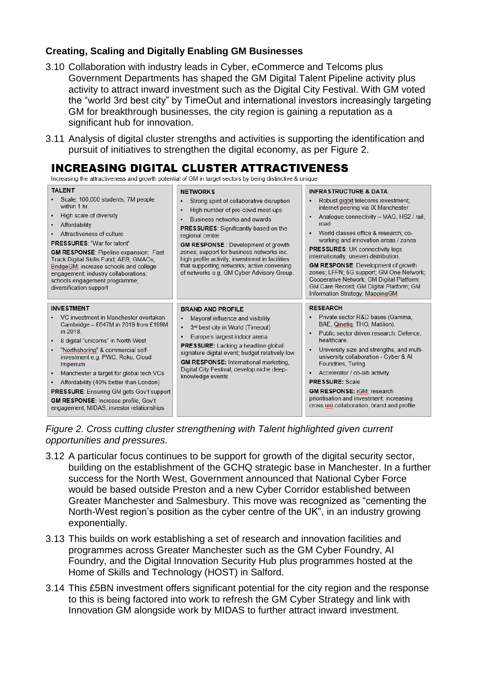### **Creating, Scaling and Digitally Enabling GM Businesses**

- 3.10 Collaboration with industry leads in Cyber, eCommerce and Telcoms plus Government Departments has shaped the GM Digital Talent Pipeline activity plus activity to attract inward investment such as the Digital City Festival. With GM voted the "world 3rd best city" by TimeOut and international investors increasingly targeting GM for breakthrough businesses, the city region is gaining a reputation as a significant hub for innovation.
- 3.11 Analysis of digital cluster strengths and activities is supporting the identification and pursuit of initiatives to strengthen the digital economy, as per Figure 2.

### **INCREASING DIGITAL CLUSTER ATTRACTIVENESS**

Increasing the attractiveness and growth potential of GM in target sectors by being distinctive & unique

| <b>TALENT</b><br>Scale: 100,000 students; 7M people<br>within 1 hr.<br>High scale of diversity<br>Affordability<br>٠<br>Attractiveness of culture<br><b>PRESSURES: "War for talent"</b><br><b>GM RESPONSE: Pipeline expansion: Fast</b><br>Track Digital Skills Fund; AEB; GMACs;<br>BridgeGM; increase schools and college<br>engagement; industry collaborations;<br>schools engagement programme;<br>diversification support                                                            | <b>NETWORKS</b><br>Strong spirit of collaborative disruption<br>٠<br>High number of pre-covid meet-ups<br>٠<br>Business networks and awards<br>٠<br><b>PRESSURES:</b> Significantly based on the<br>regional centre<br><b>GM RESPONSE:</b> Development of growth<br>zones; support for business networks inc.<br>high profile activity; investment in facilities<br>that supporting networks; active convening<br>of networks e.g. GM Cyber Advisory Group. | <b>INFRASTRUCTURE &amp; DATA</b><br>Robust gigbit telecoms investment;<br>internet peering via IX Manchester<br>Analogue connectivity - MAG, HS2 / rail,<br>road<br>World classes office & research; co-<br>٠<br>working and innovation areas / zones<br><b>PRESSURES: UK connectivity lags</b><br>internationally; uneven distribution.<br><b>GM RESPONSE:</b> Development of growth<br>zones; LFFN; 5G support; GM One Network;<br>Cooperative Network; GM Digital Platform;<br>GM Care Record; GM Digital Platform; GM<br>Information Strategy; MappingGM. |
|--------------------------------------------------------------------------------------------------------------------------------------------------------------------------------------------------------------------------------------------------------------------------------------------------------------------------------------------------------------------------------------------------------------------------------------------------------------------------------------------|-------------------------------------------------------------------------------------------------------------------------------------------------------------------------------------------------------------------------------------------------------------------------------------------------------------------------------------------------------------------------------------------------------------------------------------------------------------|---------------------------------------------------------------------------------------------------------------------------------------------------------------------------------------------------------------------------------------------------------------------------------------------------------------------------------------------------------------------------------------------------------------------------------------------------------------------------------------------------------------------------------------------------------------|
| <b>INVESTMENT</b><br>VC investment in Manchester overtaken<br>Cambridge - £647M in 2019 from £199M<br>in 2018.<br>8 digital "unicorns" in North West<br>٠<br>"Northshoring" & commercial self-<br>٠<br>investment e.g. PWC, Roku, Cloud<br>Imperium<br>Manchester a target for global tech VCs<br>٠<br>Affordability (40% better than London)<br>٠<br><b>PRESSURE:</b> Ensuring GM gets Gov't support<br>GM RESPONSE: Increase profile, Gov't<br>engagement, MIDAS, investor relationships | <b>BRAND AND PROFILE</b><br>Mayoral influence and visibility<br>$\bullet$<br>3rd best city in World (Timeout)<br>٠<br>Europe's largest indoor arena<br>$\bullet$<br><b>PRESSURE:</b> Lacking a headline global<br>signature digital event; budget relatively low<br><b>GM RESPONSE:</b> International marketing.<br>Digital City Festival, develop niche deep-<br>knowledge events                                                                          | <b>RESEARCH</b><br>Private sector R&D bases (Gamma.<br>BAE, Qinetig, THG, Matilion).<br>Public sector driven research: Defence,<br>healthcare.<br>University size and strengths, and multi-<br>$\bullet$<br>university collaboration - Cyber & Al<br>Foundries, Turing<br>Accelerator / co-lab activity.<br>٠<br><b>PRESSURE: Scale</b><br><b>GM RESPONSE: iGM: research</b><br>prioritisation and investment; increasing<br>cross uni collaboration; brand and profile                                                                                       |

*Figure 2. Cross cutting cluster strengthening with Talent highlighted given current opportunities and pressures.*

- 3.12 A particular focus continues to be support for growth of the digital security sector, building on the establishment of the GCHQ strategic base in Manchester. In a further success for the North West, Government announced that National Cyber Force would be based outside Preston and a new Cyber Corridor established between Greater Manchester and Salmesbury. This move was recognized as "cementing the North-West region's position as the cyber centre of the UK", in an industry growing exponentially.
- 3.13 This builds on work establishing a set of research and innovation facilities and programmes across Greater Manchester such as the GM Cyber Foundry, AI Foundry, and the Digital Innovation Security Hub plus programmes hosted at the Home of Skills and Technology (HOST) in Salford.
- 3.14 This £5BN investment offers significant potential for the city region and the response to this is being factored into work to refresh the GM Cyber Strategy and link with Innovation GM alongside work by MIDAS to further attract inward investment.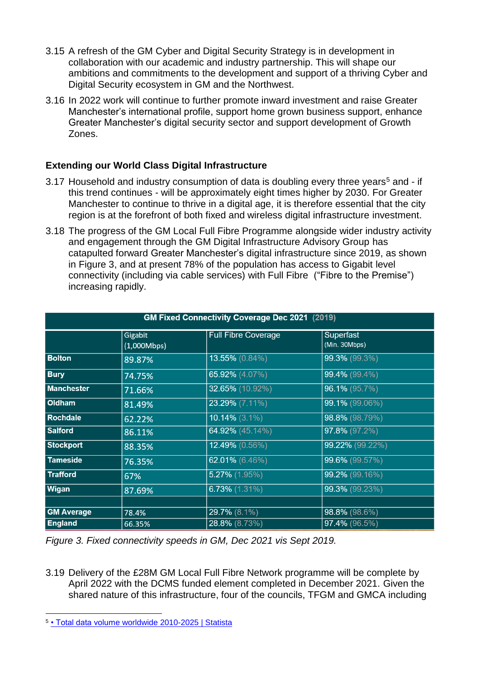- 3.15 A refresh of the GM Cyber and Digital Security Strategy is in development in collaboration with our academic and industry partnership. This will shape our ambitions and commitments to the development and support of a thriving Cyber and Digital Security ecosystem in GM and the Northwest.
- 3.16 In 2022 work will continue to further promote inward investment and raise Greater Manchester's international profile, support home grown business support, enhance Greater Manchester's digital security sector and support development of Growth Zones.

### **Extending our World Class Digital Infrastructure**

- 3.17 Household and industry consumption of data is doubling every three years<sup>5</sup> and if this trend continues - will be approximately eight times higher by 2030. For Greater Manchester to continue to thrive in a digital age, it is therefore essential that the city region is at the forefront of both fixed and wireless digital infrastructure investment.
- 3.18 The progress of the GM Local Full Fibre Programme alongside wider industry activity and engagement through the GM Digital Infrastructure Advisory Group has catapulted forward Greater Manchester's digital infrastructure since 2019, as shown in Figure 3, and at present 78% of the population has access to Gigabit level connectivity (including via cable services) with Full Fibre ("Fibre to the Premise") increasing rapidly.

| <b>GM Fixed Connectivity Coverage Dec 2021 (2019)</b> |                        |                            |                            |
|-------------------------------------------------------|------------------------|----------------------------|----------------------------|
|                                                       | Gigabit<br>(1,000Mbps) | <b>Full Fibre Coverage</b> | Superfast<br>(Min. 30Mbps) |
| <b>Bolton</b>                                         | 89.87%                 | 13.55% (0.84%)             | 99.3% (99.3%)              |
| <b>Bury</b>                                           | 74.75%                 | 65.92% (4.07%)             | $99.4\%$ (99.4%)           |
| <b>Manchester</b>                                     | 71.66%                 | 32.65% (10.92%)            | 96.1% (95.7%)              |
| <b>Oldham</b>                                         | 81.49%                 | 23.29% (7.11%)             | 99.1% (99.06%)             |
| <b>Rochdale</b>                                       | 62.22%                 | $10.14\%$ (3.1%)           | 98.8% (98.79%)             |
| <b>Salford</b>                                        | 86.11%                 | 64.92% (45.14%)            | 97.8% (97.2%)              |
| <b>Stockport</b>                                      | 88.35%                 | 12.49% (0.56%)             | 99.22% (99.22%)            |
| <b>Tameside</b>                                       | 76.35%                 | 62.01% (6.46%)             | 99.6% (99.57%)             |
| <b>Trafford</b>                                       | 67%                    | 5.27% (1.95%)              | 99.2% (99.16%)             |
| <b>Wigan</b>                                          | 87.69%                 | $6.73\%$ (1.31%)           | 99.3% (99.23%)             |
|                                                       |                        |                            |                            |
| <b>GM Average</b>                                     | 78.4%                  | 29.7% (8.1%)               | 98.8% (98.6%)              |
| <b>England</b>                                        | 66.35%                 | 28.8% (8.73%)              | 97.4% (96.5%)              |

*Figure 3. Fixed connectivity speeds in GM, Dec 2021 vis Sept 2019.*

3.19 Delivery of the £28M GM Local Full Fibre Network programme will be complete by April 2022 with the DCMS funded element completed in December 2021. Given the shared nature of this infrastructure, four of the councils, TFGM and GMCA including

<sup>1</sup> 5 [• Total data volume worldwide 2010-2025 | Statista](https://www.statista.com/statistics/871513/worldwide-data-created/#:~:text=The%20total%20amount%20of%20data%20created%2C%20captured%2C%20copied%2C,next%20five%20years%20up%20to%202025%2C%20global%20data)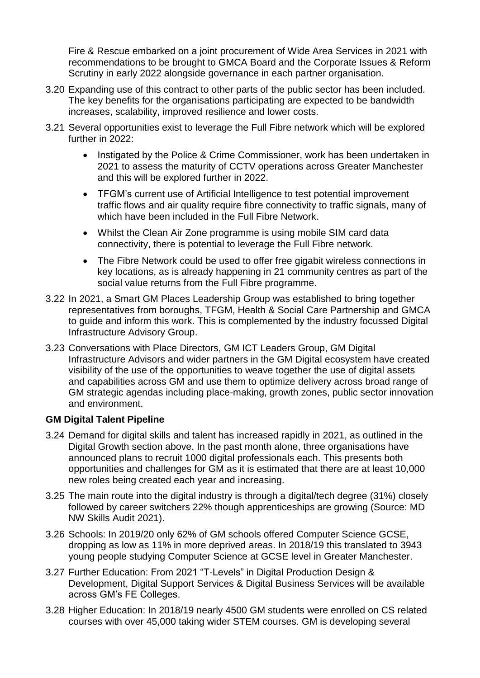Fire & Rescue embarked on a joint procurement of Wide Area Services in 2021 with recommendations to be brought to GMCA Board and the Corporate Issues & Reform Scrutiny in early 2022 alongside governance in each partner organisation.

- 3.20 Expanding use of this contract to other parts of the public sector has been included. The key benefits for the organisations participating are expected to be bandwidth increases, scalability, improved resilience and lower costs.
- 3.21 Several opportunities exist to leverage the Full Fibre network which will be explored further in 2022:
	- Instigated by the Police & Crime Commissioner, work has been undertaken in 2021 to assess the maturity of CCTV operations across Greater Manchester and this will be explored further in 2022.
	- TFGM's current use of Artificial Intelligence to test potential improvement traffic flows and air quality require fibre connectivity to traffic signals, many of which have been included in the Full Fibre Network.
	- Whilst the Clean Air Zone programme is using mobile SIM card data connectivity, there is potential to leverage the Full Fibre network.
	- The Fibre Network could be used to offer free gigabit wireless connections in key locations, as is already happening in 21 community centres as part of the social value returns from the Full Fibre programme.
- 3.22 In 2021, a Smart GM Places Leadership Group was established to bring together representatives from boroughs, TFGM, Health & Social Care Partnership and GMCA to guide and inform this work. This is complemented by the industry focussed Digital Infrastructure Advisory Group.
- 3.23 Conversations with Place Directors, GM ICT Leaders Group, GM Digital Infrastructure Advisors and wider partners in the GM Digital ecosystem have created visibility of the use of the opportunities to weave together the use of digital assets and capabilities across GM and use them to optimize delivery across broad range of GM strategic agendas including place-making, growth zones, public sector innovation and environment.

### **GM Digital Talent Pipeline**

- 3.24 Demand for digital skills and talent has increased rapidly in 2021, as outlined in the Digital Growth section above. In the past month alone, three organisations have announced plans to recruit 1000 digital professionals each. This presents both opportunities and challenges for GM as it is estimated that there are at least 10,000 new roles being created each year and increasing.
- 3.25 The main route into the digital industry is through a digital/tech degree (31%) closely followed by career switchers 22% though apprenticeships are growing (Source: MD NW Skills Audit 2021).
- 3.26 Schools: In 2019/20 only 62% of GM schools offered Computer Science GCSE, dropping as low as 11% in more deprived areas. In 2018/19 this translated to 3943 young people studying Computer Science at GCSE level in Greater Manchester.
- 3.27 Further Education: From 2021 "T-Levels" in Digital Production Design & Development, Digital Support Services & Digital Business Services will be available across GM's FE Colleges.
- 3.28 Higher Education: In 2018/19 nearly 4500 GM students were enrolled on CS related courses with over 45,000 taking wider STEM courses. GM is developing several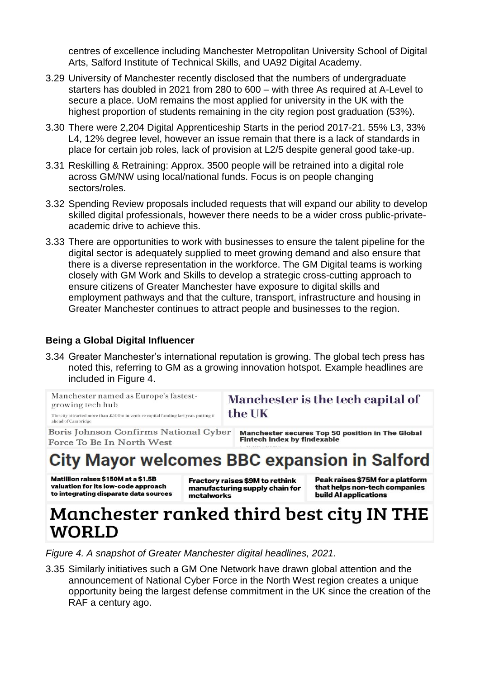centres of excellence including Manchester Metropolitan University School of Digital Arts, Salford Institute of Technical Skills, and UA92 Digital Academy.

- 3.29 University of Manchester recently disclosed that the numbers of undergraduate starters has doubled in 2021 from 280 to 600 – with three As required at A-Level to secure a place. UoM remains the most applied for university in the UK with the highest proportion of students remaining in the city region post graduation (53%).
- 3.30 There were 2,204 Digital Apprenticeship Starts in the period 2017-21. 55% L3, 33% L4, 12% degree level, however an issue remain that there is a lack of standards in place for certain job roles, lack of provision at L2/5 despite general good take-up.
- 3.31 Reskilling & Retraining: Approx. 3500 people will be retrained into a digital role across GM/NW using local/national funds. Focus is on people changing sectors/roles.
- 3.32 Spending Review proposals included requests that will expand our ability to develop skilled digital professionals, however there needs to be a wider cross public-privateacademic drive to achieve this.
- 3.33 There are opportunities to work with businesses to ensure the talent pipeline for the digital sector is adequately supplied to meet growing demand and also ensure that there is a diverse representation in the workforce. The GM Digital teams is working closely with GM Work and Skills to develop a strategic cross-cutting approach to ensure citizens of Greater Manchester have exposure to digital skills and employment pathways and that the culture, transport, infrastructure and housing in Greater Manchester continues to attract people and businesses to the region.

### **Being a Global Digital Influencer**

3.34 Greater Manchester's international reputation is growing. The global tech press has noted this, referring to GM as a growing innovation hotspot. Example headlines are included in Figure 4.

| Manchester named as Europe's fastest-<br>growing tech hub<br>The city attracted more than £500m in venture capital funding last year, putting it<br>ahead of Cambridge | Manchester is the tech capital of<br>the UK                                     |
|------------------------------------------------------------------------------------------------------------------------------------------------------------------------|---------------------------------------------------------------------------------|
| Boris Johnson Confirms National Cyber<br>Force To Be In North West                                                                                                     | Manchester secures Top 50 position in The Global<br>Fintech Index by findexable |
|                                                                                                                                                                        |                                                                                 |

# **City Mayor welcomes BBC expansion in Salford**

Matillion raises \$150M at a \$1.5B valuation for its low-code approach to integrating disparate data sources

Fractory raises \$9M to rethink manufacturing supply chain for metalworks

Peak raises \$75M for a platform that helps non-tech companies build AI applications

# Manchester ranked third best city IN THE **WORLD**

*Figure 4. A snapshot of Greater Manchester digital headlines, 2021.*

3.35 Similarly initiatives such a GM One Network have drawn global attention and the announcement of National Cyber Force in the North West region creates a unique opportunity being the largest defense commitment in the UK since the creation of the RAF a century ago.